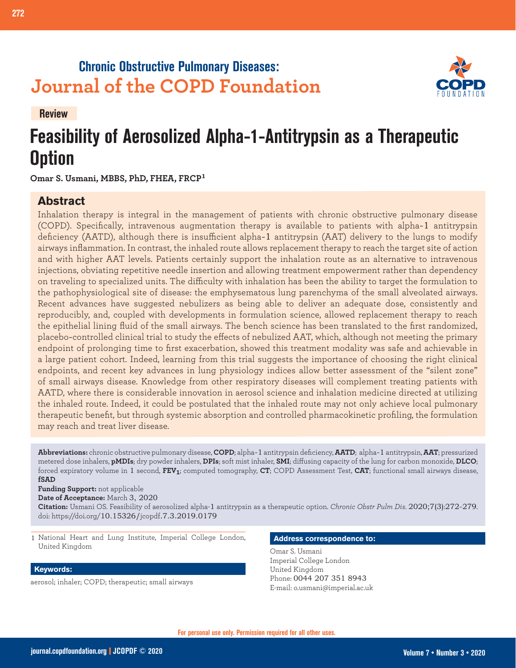## **Chronic Obstructive Pulmonary Diseases: Journal of the COPD Foundation**



**Review**

# **Feasibility of Aerosolized Alpha-1-Antitrypsin as a Therapeutic Option**

**Omar S. Usmani, MBBS, PhD, FHEA, FRCP<sup>1</sup>**

### **Abstract**

Inhalation therapy is integral in the management of patients with chronic obstructive pulmonary disease (COPD). Specifically, intravenous augmentation therapy is available to patients with alpha-1 antitrypsin deficiency (AATD), although there is insufficient alpha-1 antitrypsin (AAT) delivery to the lungs to modify airways inflammation. In contrast, the inhaled route allows replacement therapy to reach the target site of action and with higher AAT levels. Patients certainly support the inhalation route as an alternative to intravenous injections, obviating repetitive needle insertion and allowing treatment empowerment rather than dependency on traveling to specialized units. The difficulty with inhalation has been the ability to target the formulation to the pathophysiological site of disease: the emphysematous lung parenchyma of the small alveolated airways. Recent advances have suggested nebulizers as being able to deliver an adequate dose, consistently and reproducibly, and, coupled with developments in formulation science, allowed replacement therapy to reach the epithelial lining fluid of the small airways. The bench science has been translated to the first randomized, placebo-controlled clinical trial to study the effects of nebulized AAT, which, although not meeting the primary endpoint of prolonging time to first exacerbation, showed this treatment modality was safe and achievable in a large patient cohort. Indeed, learning from this trial suggests the importance of choosing the right clinical endpoints, and recent key advances in lung physiology indices allow better assessment of the "silent zone" of small airways disease. Knowledge from other respiratory diseases will complement treating patients with AATD, where there is considerable innovation in aerosol science and inhalation medicine directed at utilizing the inhaled route. Indeed, it could be postulated that the inhaled route may not only achieve local pulmonary therapeutic benefit, but through systemic absorption and controlled pharmacokinetic profiling, the formulation may reach and treat liver disease.

**Abbreviations:** chronic obstructive pulmonary disease, **COPD**; alpha-1 antitrypsin deficiency, **AATD**; alpha-1 antitrypsin, **AAT**; pressurized metered dose inhalers, **pMDIs**; dry powder inhalers, **DPIs**; soft mist inhaler, **SMI**; diffusing capacity of the lung for carbon monoxide, **DLCO**; forced expiratory volume in 1 second, **FEV1**; computed tomography, **CT**; COPD Assessment Test, **CAT**; functional small airways disease, **fSAD**

**Funding Support:** not applicable

**Date of Acceptance:** March 3, 2020

**Citation:** Usmani OS. Feasibility of aerosolized alpha-1 antitrypsin as a therapeutic option. *Chronic Obstr Pulm Dis*. 2020;7(3):272-279. doi: https://doi.org/10.15326/jcopdf.7.3.2019.0179

1 National Heart and Lung Institute, Imperial College London, United Kingdom

#### **Keywords:**

aerosol; inhaler; COPD; therapeutic; small airways

#### **Address correspondence to:**

Omar S. Usmani Imperial College London United Kingdom Phone: 0044 207 351 8943 E-mail: o.usmani@imperial.ac.uk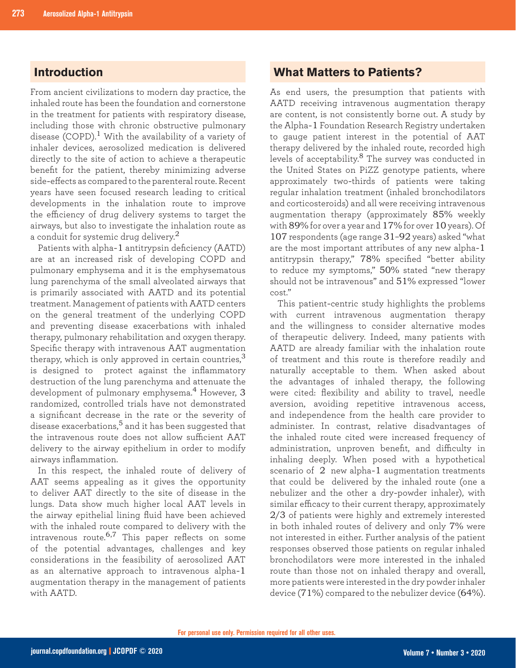#### **Introduction**

From ancient civilizations to modern day practice, the inhaled route has been the foundation and cornerstone in the treatment for patients with respiratory disease, including those with chronic obstructive pulmonary disease (COPD).<sup>1</sup> With the availability of a variety of inhaler devices, aerosolized medication is delivered directly to the site of action to achieve a therapeutic benefit for the patient, thereby minimizing adverse side-effects as compared to the parenteral route. Recent years have seen focused research leading to critical developments in the inhalation route to improve the efficiency of drug delivery systems to target the airways, but also to investigate the inhalation route as a conduit for systemic drug delivery. $^2$ 

Patients with alpha-1 antitrypsin deficiency (AATD) are at an increased risk of developing COPD and pulmonary emphysema and it is the emphysematous lung parenchyma of the small alveolated airways that is primarily associated with AATD and its potential treatment. Management of patients with AATD centers on the general treatment of the underlying COPD and preventing disease exacerbations with inhaled therapy, pulmonary rehabilitation and oxygen therapy. Specific therapy with intravenous AAT augmentation therapy, which is only approved in certain countries, $3$ is designed to protect against the inflammatory destruction of the lung parenchyma and attenuate the development of pulmonary emphysema.<sup>4</sup> However, 3 randomized, controlled trials have not demonstrated a significant decrease in the rate or the severity of disease exacerbations,<sup>5</sup> and it has been suggested that the intravenous route does not allow sufficient AAT delivery to the airway epithelium in order to modify airways inflammation.

In this respect, the inhaled route of delivery of AAT seems appealing as it gives the opportunity to deliver AAT directly to the site of disease in the lungs. Data show much higher local AAT levels in the airway epithelial lining fluid have been achieved with the inhaled route compared to delivery with the intravenous route.6,7 This paper reflects on some of the potential advantages, challenges and key considerations in the feasibility of aerosolized AAT as an alternative approach to intravenous alpha-1 augmentation therapy in the management of patients with AATD.

#### **What Matters to Patients?**

As end users, the presumption that patients with AATD receiving intravenous augmentation therapy are content, is not consistently borne out. A study by the Alpha-1 Foundation Research Registry undertaken to gauge patient interest in the potential of AAT therapy delivered by the inhaled route, recorded high levels of acceptability.<sup>8</sup> The survey was conducted in the United States on PiZZ genotype patients, where approximately two-thirds of patients were taking regular inhalation treatment (inhaled bronchodilators and corticosteroids) and all were receiving intravenous augmentation therapy (approximately 85% weekly with 89% for over a year and 17% for over 10 years). Of 107 respondents (age range 31–92 years) asked "what are the most important attributes of any new alpha-1 antitrypsin therapy," 78% specified "better ability to reduce my symptoms," 50% stated "new therapy should not be intravenous" and 51% expressed "lower cost."

This patient-centric study highlights the problems with current intravenous augmentation therapy and the willingness to consider alternative modes of therapeutic delivery. Indeed, many patients with AATD are already familiar with the inhalation route of treatment and this route is therefore readily and naturally acceptable to them. When asked about the advantages of inhaled therapy, the following were cited: flexibility and ability to travel, needle aversion, avoiding repetitive intravenous access, and independence from the health care provider to administer. In contrast, relative disadvantages of the inhaled route cited were increased frequency of administration, unproven benefit, and difficulty in inhaling deeply. When posed with a hypothetical scenario of 2 new alpha-1 augmentation treatments that could be delivered by the inhaled route (one a nebulizer and the other a dry-powder inhaler), with similar efficacy to their current therapy, approximately 2/3 of patients were highly and extremely interested in both inhaled routes of delivery and only 7% were not interested in either. Further analysis of the patient responses observed those patients on regular inhaled bronchodilators were more interested in the inhaled route than those not on inhaled therapy and overall, more patients were interested in the dry powder inhaler device (71%) compared to the nebulizer device (64%).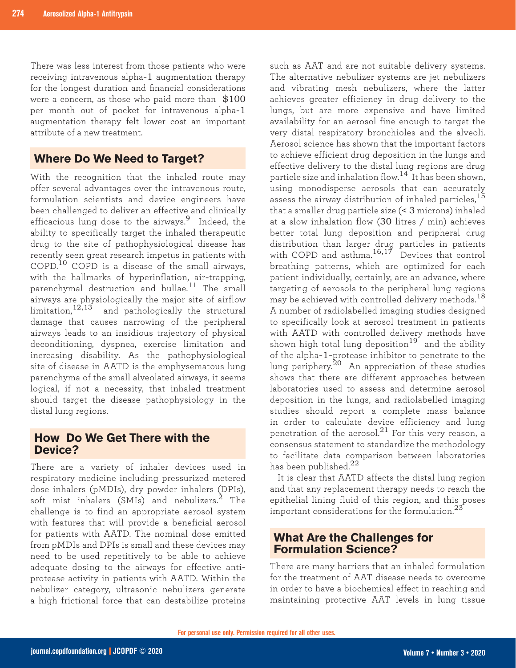There was less interest from those patients who were receiving intravenous alpha-1 augmentation therapy for the longest duration and financial considerations were a concern, as those who paid more than \$100 per month out of pocket for intravenous alpha-1 augmentation therapy felt lower cost an important attribute of a new treatment.

#### **Where Do We Need to Target?**

With the recognition that the inhaled route may offer several advantages over the intravenous route, formulation scientists and device engineers have been challenged to deliver an effective and clinically efficacious lung dose to the airways.<sup>9</sup> Indeed, the ability to specifically target the inhaled therapeutic drug to the site of pathophysiological disease has recently seen great research impetus in patients with COPD.10 COPD is a disease of the small airways, with the hallmarks of hyperinflation, air-trapping, parenchymal destruction and bullae.11 The small airways are physiologically the major site of airflow limitation,  $12,13$  and pathologically the structural damage that causes narrowing of the peripheral airways leads to an insidious trajectory of physical deconditioning, dyspnea, exercise limitation and increasing disability. As the pathophysiological site of disease in AATD is the emphysematous lung parenchyma of the small alveolated airways, it seems logical, if not a necessity, that inhaled treatment should target the disease pathophysiology in the distal lung regions.

#### **How Do We Get There with the Device?**

There are a variety of inhaler devices used in respiratory medicine including pressurized metered dose inhalers (pMDIs), dry powder inhalers (DPIs), soft mist inhalers (SMIs) and nebulizers.<sup>2</sup> The challenge is to find an appropriate aerosol system with features that will provide a beneficial aerosol for patients with AATD. The nominal dose emitted from pMDIs and DPIs is small and these devices may need to be used repetitively to be able to achieve adequate dosing to the airways for effective antiprotease activity in patients with AATD. Within the nebulizer category, ultrasonic nebulizers generate a high frictional force that can destabilize proteins

such as AAT and are not suitable delivery systems. The alternative nebulizer systems are jet nebulizers and vibrating mesh nebulizers, where the latter achieves greater efficiency in drug delivery to the lungs, but are more expensive and have limited availability for an aerosol fine enough to target the very distal respiratory bronchioles and the alveoli. Aerosol science has shown that the important factors to achieve efficient drug deposition in the lungs and effective delivery to the distal lung regions are drug particle size and inhalation flow.14 It has been shown, using monodisperse aerosols that can accurately assess the airway distribution of inhaled particles,<sup>15</sup> that a smaller drug particle size (< 3 microns) inhaled at a slow inhalation flow (30 litres / min) achieves better total lung deposition and peripheral drug distribution than larger drug particles in patients with COPD and asthma.<sup>16,17</sup> Devices that control breathing patterns, which are optimized for each patient individually, certainly, are an advance, where targeting of aerosols to the peripheral lung regions may be achieved with controlled delivery methods.<sup>18</sup> A number of radiolabelled imaging studies designed to specifically look at aerosol treatment in patients with AATD with controlled delivery methods have shown high total lung deposition<sup>19</sup> and the ability of the alpha-1-protease inhibitor to penetrate to the lung periphery.20 An appreciation of these studies shows that there are different approaches between laboratories used to assess and determine aerosol deposition in the lungs, and radiolabelled imaging studies should report a complete mass balance in order to calculate device efficiency and lung penetration of the aerosol.<sup>21</sup> For this very reason, a consensus statement to standardize the methodology to facilitate data comparison between laboratories has been published.<sup>22</sup>

It is clear that AATD affects the distal lung region and that any replacement therapy needs to reach the epithelial lining fluid of this region, and this poses important considerations for the formulation. $^{23}$ 

#### **What Are the Challenges for Formulation Science?**

There are many barriers that an inhaled formulation for the treatment of AAT disease needs to overcome in order to have a biochemical effect in reaching and maintaining protective AAT levels in lung tissue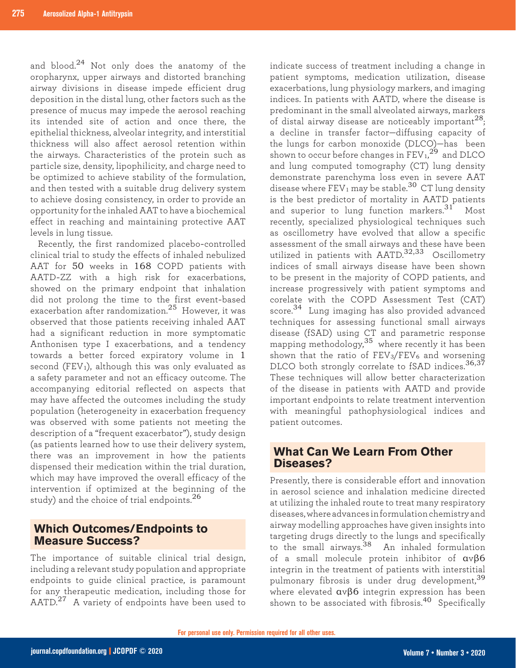and blood.24 Not only does the anatomy of the oropharynx, upper airways and distorted branching airway divisions in disease impede efficient drug deposition in the distal lung, other factors such as the presence of mucus may impede the aerosol reaching its intended site of action and once there, the epithelial thickness, alveolar integrity, and interstitial thickness will also affect aerosol retention within the airways. Characteristics of the protein such as particle size, density, lipophilicity, and charge need to be optimized to achieve stability of the formulation, and then tested with a suitable drug delivery system to achieve dosing consistency, in order to provide an opportunity for the inhaled AAT to have a biochemical effect in reaching and maintaining protective AAT levels in lung tissue.

Recently, the first randomized placebo-controlled clinical trial to study the effects of inhaled nebulized AAT for 50 weeks in 168 COPD patients with AATD-ZZ with a high risk for exacerbations, showed on the primary endpoint that inhalation did not prolong the time to the first event-based exacerbation after randomization.25 However, it was observed that those patients receiving inhaled AAT had a significant reduction in more symptomatic Anthonisen type I exacerbations, and a tendency towards a better forced expiratory volume in 1 second (FEV1), although this was only evaluated as a safety parameter and not an efficacy outcome. The accompanying editorial reflected on aspects that may have affected the outcomes including the study population (heterogeneity in exacerbation frequency was observed with some patients not meeting the description of a "frequent exacerbator"), study design (as patients learned how to use their delivery system, there was an improvement in how the patients dispensed their medication within the trial duration, which may have improved the overall efficacy of the intervention if optimized at the beginning of the study) and the choice of trial endpoints.<sup>26</sup>

#### **Which Outcomes/Endpoints to Measure Success?**

The importance of suitable clinical trial design, including a relevant study population and appropriate endpoints to guide clinical practice, is paramount for any therapeutic medication, including those for AATD.<sup>27</sup> A variety of endpoints have been used to

indicate success of treatment including a change in patient symptoms, medication utilization, disease exacerbations, lung physiology markers, and imaging indices. In patients with AATD, where the disease is predominant in the small alveolated airways, markers of distal airway disease are noticeably important $^{28};$ a decline in transfer factor—diffusing capacity of the lungs for carbon monoxide (DLCO)—has been shown to occur before changes in  $\text{FEV}_\text{1,}{}^\text{29}$  and DLCO and lung computed tomography (CT) lung density demonstrate parenchyma loss even in severe AAT disease where  $FEV_1$  may be stable.<sup>30</sup> CT lung density is the best predictor of mortality in AATD patients and superior to lung function markers.<sup>31</sup> Most recently, specialized physiological techniques such as oscillometry have evolved that allow a specific assessment of the small airways and these have been utilized in patients with  $\widehat{AATD}^{32,33}$  Oscillometry indices of small airways disease have been shown to be present in the majority of COPD patients, and increase progressively with patient symptoms and corelate with the COPD Assessment Test (CAT) score.34 Lung imaging has also provided advanced techniques for assessing functional small airways disease (fSAD) using CT and parametric response mapping methodology,  $35$  where recently it has been shown that the ratio of  $FEV<sub>3</sub>/FEV<sub>6</sub>$  and worsening DLCO both strongly correlate to fSAD indices.<sup>36,37</sup> These techniques will allow better characterization of the disease in patients with AATD and provide important endpoints to relate treatment intervention with meaningful pathophysiological indices and patient outcomes.

#### **What Can We Learn From Other Diseases?**

Presently, there is considerable effort and innovation in aerosol science and inhalation medicine directed at utilizing the inhaled route to treat many respiratory diseases, where advances in formulation chemistry and airway modelling approaches have given insights into targeting drugs directly to the lungs and specifically to the small airways.<sup>38</sup> An inhaled formulation of a small molecule protein inhibitor of αvβ6 integrin in the treatment of patients with interstitial pulmonary fibrosis is under drug development,<sup>39</sup> where elevated αvβ6 integrin expression has been shown to be associated with fibrosis.<sup>40</sup> Specifically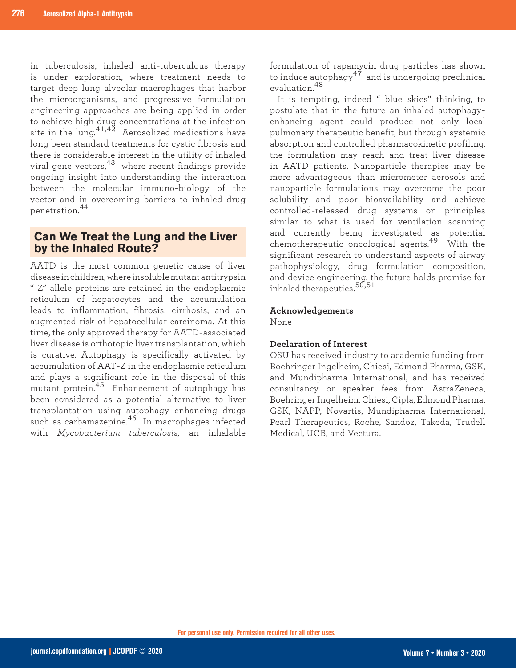in tuberculosis, inhaled anti-tuberculous therapy is under exploration, where treatment needs to target deep lung alveolar macrophages that harbor the microorganisms, and progressive formulation engineering approaches are being applied in order to achieve high drug concentrations at the infection site in the lung.<sup>41,42</sup> Aerosolized medications have long been standard treatments for cystic fibrosis and there is considerable interest in the utility of inhaled viral gene vectors,43 where recent findings provide ongoing insight into understanding the interaction between the molecular immuno-biology of the vector and in overcoming barriers to inhaled drug penetration.<sup>44</sup>

#### **Can We Treat the Lung and the Liver by the Inhaled Route?**

AATD is the most common genetic cause of liver disease in children, where insoluble mutant antitrypsin " Z" allele proteins are retained in the endoplasmic reticulum of hepatocytes and the accumulation leads to inflammation, fibrosis, cirrhosis, and an augmented risk of hepatocellular carcinoma. At this time, the only approved therapy for AATD-associated liver disease is orthotopic liver transplantation, which is curative. Autophagy is specifically activated by accumulation of AAT-Z in the endoplasmic reticulum and plays a significant role in the disposal of this mutant protein.45 Enhancement of autophagy has been considered as a potential alternative to liver transplantation using autophagy enhancing drugs such as carbamazepine.46 In macrophages infected with *Mycobacterium tuberculosis*, an inhalable

formulation of rapamycin drug particles has shown to induce autophagy<sup>47</sup> and is undergoing preclinical evaluation.<sup>48</sup>

It is tempting, indeed " blue skies" thinking, to postulate that in the future an inhaled autophagyenhancing agent could produce not only local pulmonary therapeutic benefit, but through systemic absorption and controlled pharmacokinetic profiling, the formulation may reach and treat liver disease in AATD patients. Nanoparticle therapies may be more advantageous than micrometer aerosols and nanoparticle formulations may overcome the poor solubility and poor bioavailability and achieve controlled-released drug systems on principles similar to what is used for ventilation scanning and currently being investigated as potential chemotherapeutic oncological agents.49 With the significant research to understand aspects of airway pathophysiology, drug formulation composition, and device engineering, the future holds promise for inhaled therapeutics.<sup>50,51</sup>

#### **Acknowledgements**

None

#### **Declaration of Interest**

OSU has received industry to academic funding from Boehringer Ingelheim, Chiesi, Edmond Pharma, GSK, and Mundipharma International, and has received consultancy or speaker fees from AstraZeneca, Boehringer Ingelheim, Chiesi, Cipla, Edmond Pharma, GSK, NAPP, Novartis, Mundipharma International, Pearl Therapeutics, Roche, Sandoz, Takeda, Trudell Medical, UCB, and Vectura.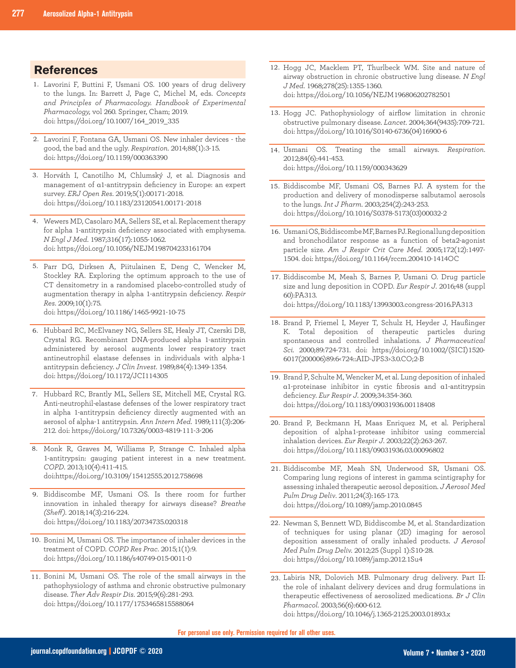- 1. Lavorini F, Buttini F, Usmani OS. 100 years of drug delivery to the lungs. In: Barrett J, Page C, Michel M, eds. *Concepts and Principles of Pharmacology. Handbook of Experimental Pharmacology,* vol 260. Springer, Cham; 2019. doi: https://doi.org/10.1007/164\_2019\_335
- 2. Lavorini F, Fontana GA, Usmani OS. New inhaler devices the good, the bad and the ugly. *Respiration*. 2014;88(1):3-15. doi: https://doi.org/10.1159/000363390
- Horváth I, Canotilho M, Chlumský J, et al. Diagnosis and 3. management of α1-antitrypsin deficiency in Europe: an expert survey. *ERJ Open Res*. 2019;5(1):00171-2018. doi: https://doi.org/10.1183/23120541.00171-2018
- Wewers MD, Casolaro MA, Sellers SE, et al. Replacement therapy 4. for alpha 1-antitrypsin deficiency associated with emphysema. *N Engl J Med*. 1987;316(17):1055-1062. doi: https://doi.org/10.1056/NEJM198704233161704
- 5. Parr DG, Dirksen A, Piitulainen E, Deng C, Wencker M, Stockley RA. Exploring the optimum approach to the use of CT densitometry in a randomised placebo-controlled study of augmentation therapy in alpha 1-antitrypsin deficiency. *Respir Res*. 2009;10(1):75.

doi: https://doi.org/10.1186/1465-9921-10-75

- 6. Hubbard RC, McElvaney NG, Sellers SE, Healy JT, Czerski DB, Crystal RG. Recombinant DNA-produced alpha 1-antitrypsin administered by aerosol augments lower respiratory tract antineutrophil elastase defenses in individuals with alpha-1 antitrypsin deficiency. *J Clin Invest*. 1989;84(4):1349-1354. doi: https://doi.org/10.1172/JCI114305
- 7. Hubbard RC, Brantly ML, Sellers SE, Mitchell ME, Crystal RG. Anti-neutrophil-elastase defenses of the lower respiratory tract in alpha 1-antitrypsin deficiency directly augmented with an aerosol of alpha-1 antitrypsin. *Ann Intern Med*. 1989;111(3):206- 212. doi: https://doi.org/10.7326/0003-4819-111-3-206
- 8. Monk R, Graves M, Williams P, Strange C. Inhaled alpha 1-antitrypsin: gauging patient interest in a new treatment. *COPD*. 2013;10(4):411-415. doi:https://doi.org/10.3109/15412555.2012.758698
- 9. Biddiscombe MF, Usmani OS. Is there room for further innovation in inhaled therapy for airways disease? *Breathe (Sheff)*. 2018;14(3):216-224. doi: https://doi.org/10.1183/20734735.020318
- 10. Bonini M, Usmani OS. The importance of inhaler devices in the treatment of COPD. *COPD Res Prac*. 2015;1(1):9. doi: https://doi.org/10.1186/s40749-015-0011-0
- 11. Bonini M, Usmani OS. The role of the small airways in the pathophysiology of asthma and chronic obstructive pulmonary disease. *Ther Adv Respir Dis*. 2015;9(6):281-293. doi: https://doi.org/10.1177/1753465815588064
- **References Hogg JC**, Macklem PT, Thurlbeck WM. Site and nature of  $\frac{12. \text{ Hogg JC}}{\text{simum observation in chiral behavior of a function [1]} }$ airway obstruction in chronic obstructive lung disease. *N Engl J Med*. 1968;278(25):1355-1360. doi: https://doi.org/10.1056/NEJM196806202782501
	- 13. Hogg JC. Pathophysiology of airflow limitation in chronic obstructive pulmonary disease. *Lancet*. 2004;364(9435):709-721. doi: https://doi.org/10.1016/S0140-6736(04)16900-6
	- Usmani OS. Treating the small airways. *Respiration*. 14. 2012;84(6):441-453. doi: https://doi.org/10.1159/000343629
	- 15. Biddiscombe MF, Usmani OS, Barnes PJ. A system for the production and delivery of monodisperse salbutamol aerosols to the lungs. *Int J Pharm*. 2003;254(2):243-253. doi: https://doi.org/10.1016/S0378-5173(03)00032-2
	- 16. Usmani OS, Biddiscombe MF, Barnes PJ. Regional lung deposition and bronchodilator response as a function of beta2-agonist particle size. *Am J Respir Crit Care Med*. 2005;172(12):1497- 1504. doi: https://doi.org/10.1164/rccm.200410-1414OC
	- 17. Biddiscombe M, Meah S, Barnes P, Usmani O. Drug particle size and lung deposition in COPD. *Eur Respir J*. 2016;48 (suppl 60):PA313. doi: https://doi.org/10.1183/13993003.congress-2016.PA313
	- 18. Brand P, Friemel I, Meyer T, Schulz H, Heyder J, Haußinger K. Total deposition of therapeutic particles during spontaneous and controlled inhalations. *J Pharmaceutical Sci.* 2000;89:724-731. doi: https://doi.org/10.1002/(SICI)1520- 6017(200006)89:6<724::AID-JPS3>3.0.CO;2-B
	- 19. Brand P, Schulte M, Wencker M, et al. Lung deposition of inhaled α1-proteinase inhibitor in cystic fibrosis and α1-antitrypsin deficiency. *Eur Respir J*. 2009;34:354-360. doi: https://doi.org/10.1183/09031936.00118408
	- 20. Brand P, Beckmann H, Maas Enriquez M, et al. Peripheral deposition of alpha1-protease inhibitor using commercial inhalation devices. *Eur Respir J*. 2003;22(2):263-267. doi: https://doi.org/10.1183/09031936.03.00096802
	- 21. Biddiscombe MF, Meah SN, Underwood SR, Usmani OS. Comparing lung regions of interest in gamma scintigraphy for assessing inhaled therapeutic aerosol deposition. *J Aerosol Med Pulm Drug Deliv*. 2011;24(3):165-173. doi: https://doi.org/10.1089/jamp.2010.0845
	- 22. Newman S, Bennett WD, Biddiscombe M, et al. Standardization of techniques for using planar (2D) imaging for aerosol deposition assessment of orally inhaled products. *J Aerosol Med Pulm Drug Deliv.* 2012;25 (Suppl 1):S10-28. doi: https://doi.org/10.1089/jamp.2012.1Su4
	- Labiris NR, Dolovich MB. Pulmonary drug delivery. Part II: 23.the role of inhalant delivery devices and drug formulations in therapeutic effectiveness of aerosolized medications. *Br J Clin Pharmacol*. 2003;56(6):600-612. doi: https://doi.org/10.1046/j.1365-2125.2003.01893.x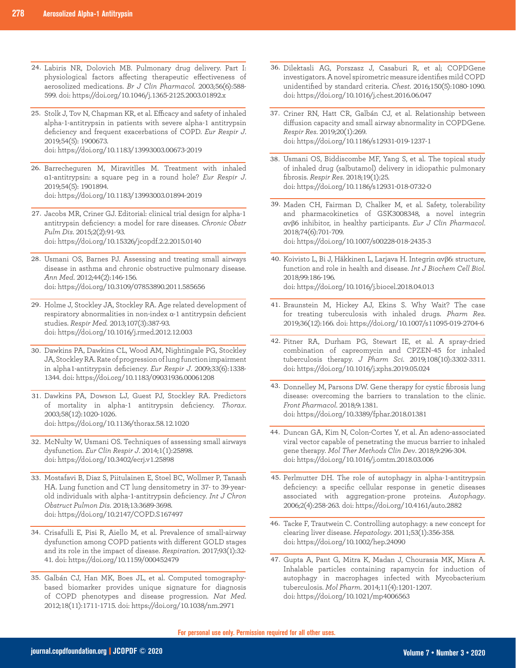- 24. Labiris NR, Dolovich MB. Pulmonary drug delivery. Part I: physiological factors affecting therapeutic effectiveness of aerosolized medications. *Br J Clin Pharmacol.* 2003;56(6):588- 599. doi: https://doi.org/10.1046/j.1365-2125.2003.01892.x
- 25. Stolk J, Tov N, Chapman KR, et al. Efficacy and safety of inhaled alpha-1-antitrypsin in patients with severe alpha-1 antitrypsin deficiency and frequent exacerbations of COPD. *Eur Respir J*. 2019;54(5): 1900673. doi: https://doi.org/10.1183/13993003.00673-2019
- 26. Barrecheguren M, Miravitlles M. Treatment with inhaled α1-antitrypsin: a square peg in a round hole? *Eur Respir J*. 2019;54(5): 1901894. doi: https://doi.org/10.1183/13993003.01894-2019
- 27. Jacobs MR, Criner GJ. Editorial: clinical trial design for alpha-1 antitrypsin deficiency: a model for rare diseases. *Chronic Obstr Pulm Dis*. 2015;2(2):91-93. doi: https://doi.org/10.15326/jcopdf.2.2.2015.0140
- Usmani OS, Barnes PJ. Assessing and treating small airways 28. disease in asthma and chronic obstructive pulmonary disease. *Ann Med*. 2012;44(2):146-156. doi: https://doi.org/10.3109/07853890.2011.585656
- 29. Holme J, Stockley JA, Stockley RA. Age related development of respiratory abnormalities in non-index α-1 antitrypsin deficient studies. *Respir Med.* 2013;107(3):387-93. doi: https://doi.org/10.1016/j.rmed.2012.12.003
- 30. Dawkins PA, Dawkins CL, Wood AM, Nightingale PG, Stockley JA, Stockley RA. Rate of progression of lung function impairment in alpha1-antitrypsin deficiency. *Eur Respir J*. 2009;33(6):1338- 1344. doi: https://doi.org/10.1183/09031936.00061208
- 31. Dawkins PA, Dowson LJ, Guest PJ, Stockley RA. Predictors of mortality in alpha-1 antitrypsin deficiency. *Thorax*. 2003;58(12):1020-1026. doi: https://doi.org/10.1136/thorax.58.12.1020
- 32. McNulty W, Usmani OS. Techniques of assessing small airways dysfunction. *Eur Clin Respir J*. 2014;1(1):25898. doi: https://doi.org/10.3402/ecrj.v1.25898
- 33. Mostafavi B, Diaz S, Piitulainen E, Stoel BC, Wollmer P, Tanash HA. Lung function and CT lung densitometry in 37- to 39-yearold individuals with alpha-1-antitrypsin deficiency. *Int J Chron Obstruct Pulmon Dis*. 2018;13:3689-3698. doi: https://doi.org/10.2147/COPD.S167497
- Crisafulli E, Pisi R, Aiello M, et al. Prevalence of small-airway 34. dysfunction among COPD patients with different GOLD stages and its role in the impact of disease. *Respiration*. 2017;93(1):32- 41. doi: https://doi.org/10.1159/000452479
- Galbán CJ, Han MK, Boes JL, et al. Computed tomography-35. based biomarker provides unique signature for diagnosis of COPD phenotypes and disease progression. *Nat Med*. 2012;18(11):1711-1715. doi: https://doi.org/10.1038/nm.2971
- 36. Dilektasli AG, Porszasz J, Casaburi R, et al; COPDGene investigators. A novel spirometric measure identifies mild COPD unidentified by standard criteria. *Chest*. 2016;150(5):1080-1090. doi: https://doi.org/10.1016/j.chest.2016.06.047
- 37. Criner RN, Hatt CR, Galbán CJ, et al. Relationship between diffusion capacity and small airway abnormality in COPDGene. *Respir Res*. 2019;20(1):269. doi: https://doi.org/10.1186/s12931-019-1237-1
- Usmani OS, Biddiscombe MF, Yang S, et al. The topical study 38. of inhaled drug (salbutamol) delivery in idiopathic pulmonary fibrosis. *Respir Res*. 2018;19(1):25. doi: https://doi.org/10.1186/s12931-018-0732-0
- 39. Maden CH, Fairman D, Chalker M, et al. Safety, tolerability and pharmacokinetics of GSK3008348, a novel integrin αvβ6 inhibitor, in healthy participants. *Eur J Clin Pharmacol*. 2018;74(6):701-709. doi: https://doi.org/10.1007/s00228-018-2435-3
- 40. Koivisto L, Bi J, Häkkinen L, Larjava H. Integrin ανβ6: structure, function and role in health and disease. *Int J Biochem Cell Biol*. 2018;99:186-196. doi: https://doi.org/10.1016/j.biocel.2018.04.013
- 41. Braunstein M, Hickey AJ, Ekins S. Why Wait? The case for treating tuberculosis with inhaled drugs. *Pharm Res*. 2019;36(12):166. doi: https://doi.org/10.1007/s11095-019-2704-6
- 42. Pitner RA, Durham PG, Stewart IE, et al. A spray-dried combination of capreomycin and CPZEN-45 for inhaled tuberculosis therapy. *J Pharm Sci*. 2019;108(10):3302-3311. doi: https://doi.org/10.1016/j.xphs.2019.05.024
- 43. Donnelley M, Parsons DW. Gene therapy for cystic fibrosis lung disease: overcoming the barriers to translation to the clinic. *Front Pharmacol*. 2018;9:1381. doi: https://doi.org/10.3389/fphar.2018.01381
- 44. Duncan GA, Kim N, Colon-Cortes Y, et al. An adeno-associated viral vector capable of penetrating the mucus barrier to inhaled gene therapy. *Mol Ther Methods Clin Dev*. 2018;9:296-304. doi: https://doi.org/10.1016/j.omtm.2018.03.006
- 45. Perlmutter DH. The role of autophagy in alpha-1-antitrypsin deficiency: a specific cellular response in genetic diseases associated with aggregation-prone proteins. *Autophagy*. 2006;2(4):258-263. doi: https://doi.org/10.4161/auto.2882
- 46. Tacke F, Trautwein C. Controlling autophagy: a new concept for clearing liver disease. *Hepatology*. 2011;53(1):356-358. doi: https://doi.org/10.1002/hep.24090
- 47. Gupta A, Pant G, Mitra K, Madan J, Chourasia MK, Misra A. Inhalable particles containing rapamycin for induction of autophagy in macrophages infected with Mycobacterium tuberculosis. *Mol Pharm*. 2014;11(4):1201-1207. doi: https://doi.org/10.1021/mp4006563